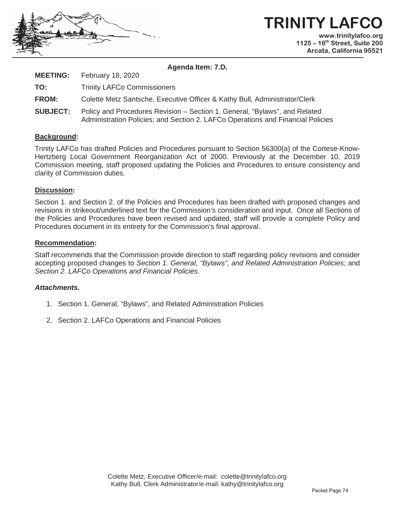

**TRINITY LAFCO www.trinitylafco.org 1125 – 16th Street, Suite 200 Arcata, California 95521** 

**Agenda Item: 7.D.**

**MEETING:** February 18, 2020 **TO:** Trinity LAFCo Commissioners **FROM:** Colette Metz Santsche, Executive Officer & Kathy Bull, Administrator/Clerk **SUBJECT:** Policy and Procedures Revision – Section 1. General, "Bylaws", and Related Administration Policies; and Section 2. LAFCo Operations and Financial Policies

#### **Background:**

Trinity LAFCo has drafted Policies and Procedures pursuant to Section 56300(a) of the Cortese-Know-Hertzberg Local Government Reorganization Act of 2000. Previously at the December 10, 2019 Commission meeting, staff proposed updating the Policies and Procedures to ensure consistency and clarity of Commission duties.

#### **Discussion:**

Section 1. and Section 2. of the Policies and Procedures has been drafted with proposed changes and revisions in strikeout/underlined text for the Commission's consideration and input. Once all Sections of the Policies and Procedures have been revised and updated, staff will provide a complete Policy and Procedures document in its entirety for the Commission's final approval.

#### **Recommendation:**

Staff recommends that the Commission provide direction to staff regarding policy revisions and consider accepting proposed changes to *Section 1. General, "Bylaws", and Related Administration Policies*; and *Section 2. LAFCo Operations and Financial Policies*.

#### *Attachments.*

- 1. Section 1. General, "Bylaws", and Related Administration Policies
- 2. Section 2. LAFCo Operations and Financial Policies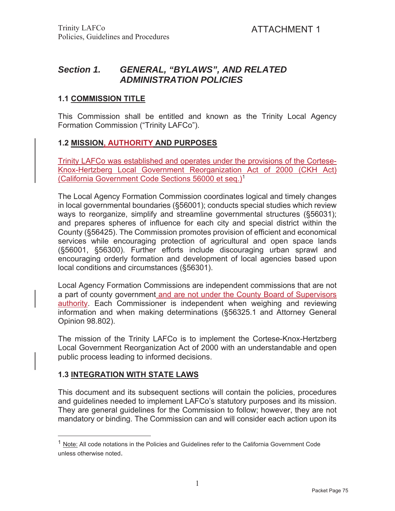# *Section 1. GENERAL, "BYLAWS", AND RELATED ADMINISTRATION POLICIES*

### **1.1 COMMISSION TITLE**

This Commission shall be entitled and known as the Trinity Local Agency Formation Commission ("Trinity LAFCo").

### **1.2 MISSION, AUTHORITY AND PURPOSES**

Trinity LAFCo was established and operates under the provisions of the Cortese-Knox-Hertzberg Local Government Reorganization Act of 2000 (CKH Act) (California Government Code Sections 56000 et seq.)1

The Local Agency Formation Commission coordinates logical and timely changes in local governmental boundaries (§56001); conducts special studies which review ways to reorganize, simplify and streamline governmental structures (§56031); and prepares spheres of influence for each city and special district within the County (§56425). The Commission promotes provision of efficient and economical services while encouraging protection of agricultural and open space lands (§56001, §56300). Further efforts include discouraging urban sprawl and encouraging orderly formation and development of local agencies based upon local conditions and circumstances (§56301).

Local Agency Formation Commissions are independent commissions that are not a part of county government and are not under the County Board of Supervisors authority. Each Commissioner is independent when weighing and reviewing information and when making determinations (§56325.1 and Attorney General Opinion 98.802).

The mission of the Trinity LAFCo is to implement the Cortese-Knox-Hertzberg Local Government Reorganization Act of 2000 with an understandable and open public process leading to informed decisions.

### **1.3 INTEGRATION WITH STATE LAWS**

This document and its subsequent sections will contain the policies, procedures and guidelines needed to implement LAFCo's statutory purposes and its mission. They are general guidelines for the Commission to follow; however, they are not mandatory or binding. The Commission can and will consider each action upon its

 $<sup>1</sup>$  Note: All code notations in the Policies and Guidelines refer to the California Government Code</sup> unless otherwise noted.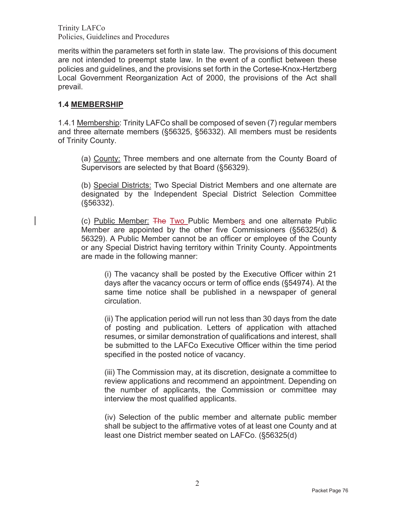merits within the parameters set forth in state law. The provisions of this document are not intended to preempt state law. In the event of a conflict between these policies and guidelines, and the provisions set forth in the Cortese-Knox-Hertzberg Local Government Reorganization Act of 2000, the provisions of the Act shall prevail.

#### **1.4 MEMBERSHIP**

1.4.1 Membership: Trinity LAFCo shall be composed of seven (7) regular members and three alternate members (§56325, §56332). All members must be residents of Trinity County.

(a) County: Three members and one alternate from the County Board of Supervisors are selected by that Board (§56329).

(b) Special Districts: Two Special District Members and one alternate are designated by the Independent Special District Selection Committee (§56332).

(c) Public Member: The Two Public Members and one alternate Public Member are appointed by the other five Commissioners (§56325(d) & 56329). A Public Member cannot be an officer or employee of the County or any Special District having territory within Trinity County. Appointments are made in the following manner:

(i) The vacancy shall be posted by the Executive Officer within 21 days after the vacancy occurs or term of office ends (§54974). At the same time notice shall be published in a newspaper of general circulation.

(ii) The application period will run not less than 30 days from the date of posting and publication. Letters of application with attached resumes, or similar demonstration of qualifications and interest, shall be submitted to the LAFCo Executive Officer within the time period specified in the posted notice of vacancy.

(iii) The Commission may, at its discretion, designate a committee to review applications and recommend an appointment. Depending on the number of applicants, the Commission or committee may interview the most qualified applicants.

(iv) Selection of the public member and alternate public member shall be subject to the affirmative votes of at least one County and at least one District member seated on LAFCo. (§56325(d)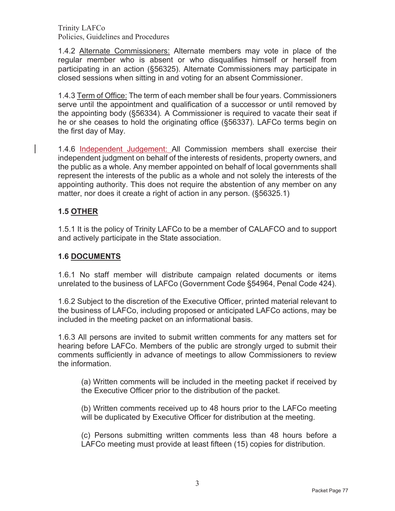1.4.2 Alternate Commissioners: Alternate members may vote in place of the regular member who is absent or who disqualifies himself or herself from participating in an action (§56325). Alternate Commissioners may participate in closed sessions when sitting in and voting for an absent Commissioner.

1.4.3 Term of Office: The term of each member shall be four years. Commissioners serve until the appointment and qualification of a successor or until removed by the appointing body (§56334)*.* A Commissioner is required to vacate their seat if he or she ceases to hold the originating office (§56337). LAFCo terms begin on the first day of May.

1.4.6 Independent Judgement: All Commission members shall exercise their independent judgment on behalf of the interests of residents, property owners, and the public as a whole. Any member appointed on behalf of local governments shall represent the interests of the public as a whole and not solely the interests of the appointing authority. This does not require the abstention of any member on any matter, nor does it create a right of action in any person. (§56325.1)

### **1.5 OTHER**

1.5.1 It is the policy of Trinity LAFCo to be a member of CALAFCO and to support and actively participate in the State association.

#### **1.6 DOCUMENTS**

1.6.1 No staff member will distribute campaign related documents or items unrelated to the business of LAFCo (Government Code §54964, Penal Code 424).

1.6.2 Subject to the discretion of the Executive Officer, printed material relevant to the business of LAFCo, including proposed or anticipated LAFCo actions, may be included in the meeting packet on an informational basis.

1.6.3 All persons are invited to submit written comments for any matters set for hearing before LAFCo. Members of the public are strongly urged to submit their comments sufficiently in advance of meetings to allow Commissioners to review the information.

(a) Written comments will be included in the meeting packet if received by the Executive Officer prior to the distribution of the packet.

(b) Written comments received up to 48 hours prior to the LAFCo meeting will be duplicated by Executive Officer for distribution at the meeting.

(c) Persons submitting written comments less than 48 hours before a LAFCo meeting must provide at least fifteen (15) copies for distribution.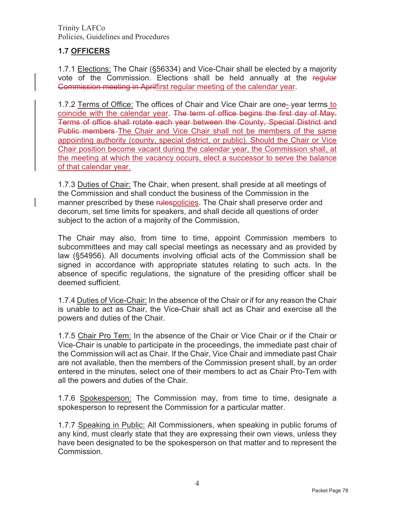## **1.7 OFFICERS**

1.7.1 Elections: The Chair (§56334) and Vice-Chair shall be elected by a majority vote of the Commission. Elections shall be held annually at the regular Commission meeting in Aprilfirst regular meeting of the calendar year.

1.7.2 Terms of Office: The offices of Chair and Vice Chair are one- year terms to coincide with the calendar year. The term of office begins the first day of May. Terms of office shall rotate each year between the County, Special District and Public members The Chair and Vice Chair shall not be members of the same appointing authority (county, special district, or public). Should the Chair or Vice Chair position become vacant during the calendar year, the Commission shall, at the meeting at which the vacancy occurs, elect a successor to serve the balance of that calendar year.

1.7.3 Duties of Chair: The Chair, when present, shall preside at all meetings of the Commission and shall conduct the business of the Commission in the manner prescribed by these rulespolicies. The Chair shall preserve order and decorum, set time limits for speakers, and shall decide all questions of order subject to the action of a majority of the Commission**.**

The Chair may also, from time to time, appoint Commission members to subcommittees and may call special meetings as necessary and as provided by law (§54956). All documents involving official acts of the Commission shall be signed in accordance with appropriate statutes relating to such acts. In the absence of specific regulations, the signature of the presiding officer shall be deemed sufficient.

1.7.4 Duties of Vice-Chair: In the absence of the Chair or if for any reason the Chair is unable to act as Chair, the Vice-Chair shall act as Chair and exercise all the powers and duties of the Chair.

1.7.5 Chair Pro Tem: In the absence of the Chair or Vice Chair or if the Chair or Vice-Chair is unable to participate in the proceedings, the immediate past chair of the Commission will act as Chair. If the Chair, Vice Chair and immediate past Chair are not available, then the members of the Commission present shall, by an order entered in the minutes, select one of their members to act as Chair Pro-Tem with all the powers and duties of the Chair.

1.7.6 Spokesperson: The Commission may, from time to time, designate a spokesperson to represent the Commission for a particular matter.

1.7.7 Speaking in Public: All Commissioners, when speaking in public forums of any kind, must clearly state that they are expressing their own views, unless they have been designated to be the spokesperson on that matter and to represent the Commission.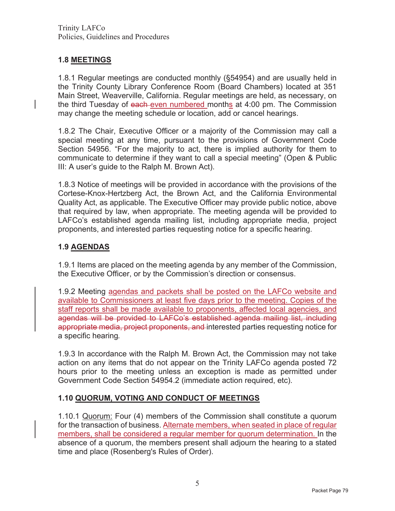## **1.8 MEETINGS**

1.8.1 Regular meetings are conducted monthly (§54954) and are usually held in the Trinity County Library Conference Room (Board Chambers) located at 351 Main Street, Weaverville, California. Regular meetings are held, as necessary, on the third Tuesday of each even numbered months at 4:00 pm. The Commission may change the meeting schedule or location, add or cancel hearings.

1.8.2 The Chair, Executive Officer or a majority of the Commission may call a special meeting at any time, pursuant to the provisions of Government Code Section 54956. "For the majority to act, there is implied authority for them to communicate to determine if they want to call a special meeting" (Open & Public III: A user's guide to the Ralph M. Brown Act).

1.8.3 Notice of meetings will be provided in accordance with the provisions of the Cortese-Knox-Hertzberg Act, the Brown Act, and the California Environmental Quality Act, as applicable. The Executive Officer may provide public notice, above that required by law, when appropriate. The meeting agenda will be provided to LAFCo's established agenda mailing list, including appropriate media, project proponents, and interested parties requesting notice for a specific hearing.

### **1.9 AGENDAS**

1.9.1 Items are placed on the meeting agenda by any member of the Commission, the Executive Officer, or by the Commission's direction or consensus.

1.9.2 Meeting agendas and packets shall be posted on the LAFCo website and available to Commissioners at least five days prior to the meeting. Copies of the staff reports shall be made available to proponents, affected local agencies, and agendas will be provided to LAFCo's established agenda mailing list, including appropriate media, project proponents, and interested parties requesting notice for a specific hearing*.*

1.9.3 In accordance with the Ralph M. Brown Act, the Commission may not take action on any items that do not appear on the Trinity LAFCo agenda posted 72 hours prior to the meeting unless an exception is made as permitted under Government Code Section 54954.2 (immediate action required, etc).

### **1.10 QUORUM, VOTING AND CONDUCT OF MEETINGS**

1.10.1 Quorum: Four (4) members of the Commission shall constitute a quorum for the transaction of business. Alternate members, when seated in place of regular members, shall be considered a regular member for quorum determination. In the absence of a quorum, the members present shall adjourn the hearing to a stated time and place (Rosenberg's Rules of Order).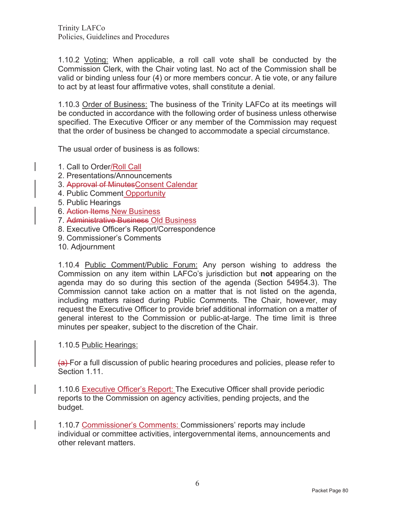1.10.2 Voting: When applicable, a roll call vote shall be conducted by the Commission Clerk, with the Chair voting last. No act of the Commission shall be valid or binding unless four (4) or more members concur. A tie vote, or any failure to act by at least four affirmative votes, shall constitute a denial.

1.10.3 Order of Business: The business of the Trinity LAFCo at its meetings will be conducted in accordance with the following order of business unless otherwise specified. The Executive Officer or any member of the Commission may request that the order of business be changed to accommodate a special circumstance.

The usual order of business is as follows:

- 1. Call to Order/Roll Call
- 2. Presentations/Announcements
- 3. Approval of MinutesConsent Calendar
- 4. Public Comment Opportunity
- 5. Public Hearings
- 6. Action Items New Business
- 7. Administrative Business Old Business
- 8. Executive Officer's Report/Correspondence
- 9. Commissioner's Comments
- 10. Adjournment

1.10.4 Public Comment/Public Forum: Any person wishing to address the Commission on any item within LAFCo's jurisdiction but **not** appearing on the agenda may do so during this section of the agenda (Section 54954.3). The Commission cannot take action on a matter that is not listed on the agenda, including matters raised during Public Comments. The Chair, however, may request the Executive Officer to provide brief additional information on a matter of general interest to the Commission or public-at-large. The time limit is three minutes per speaker, subject to the discretion of the Chair.

1.10.5 Public Hearings:

(a) For a full discussion of public hearing procedures and policies, please refer to Section 1.11.

1.10.6 Executive Officer's Report: The Executive Officer shall provide periodic reports to the Commission on agency activities, pending projects, and the budget.

1.10.7 Commissioner's Comments: Commissioners' reports may include individual or committee activities, intergovernmental items, announcements and other relevant matters.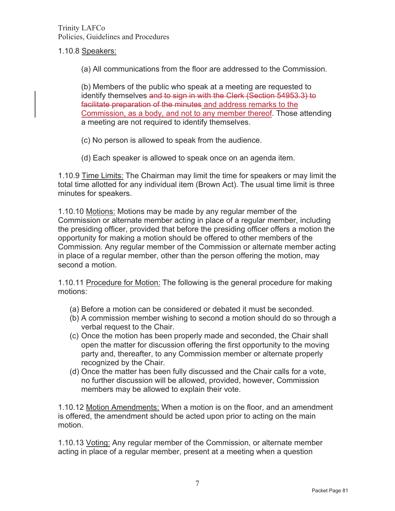#### 1.10.8 Speakers:

(a) All communications from the floor are addressed to the Commission.

(b) Members of the public who speak at a meeting are requested to identify themselves and to sign in with the Clerk (Section 54953.3) to facilitate preparation of the minutes and address remarks to the Commission, as a body, and not to any member thereof. Those attending a meeting are not required to identify themselves.

- (c) No person is allowed to speak from the audience.
- (d) Each speaker is allowed to speak once on an agenda item.

1.10.9 Time Limits: The Chairman may limit the time for speakers or may limit the total time allotted for any individual item (Brown Act). The usual time limit is three minutes for speakers.

1.10.10 Motions: Motions may be made by any regular member of the Commission or alternate member acting in place of a regular member, including the presiding officer, provided that before the presiding officer offers a motion the opportunity for making a motion should be offered to other members of the Commission. Any regular member of the Commission or alternate member acting in place of a regular member, other than the person offering the motion, may second a motion.

1.10.11 Procedure for Motion: The following is the general procedure for making motions:

- (a) Before a motion can be considered or debated it must be seconded.
- (b) A commission member wishing to second a motion should do so through a verbal request to the Chair.
- (c) Once the motion has been properly made and seconded, the Chair shall open the matter for discussion offering the first opportunity to the moving party and, thereafter, to any Commission member or alternate properly recognized by the Chair.
- (d) Once the matter has been fully discussed and the Chair calls for a vote, no further discussion will be allowed, provided, however, Commission members may be allowed to explain their vote.

1.10.12 Motion Amendments: When a motion is on the floor, and an amendment is offered, the amendment should be acted upon prior to acting on the main motion.

1.10.13 Voting: Any regular member of the Commission, or alternate member acting in place of a regular member, present at a meeting when a question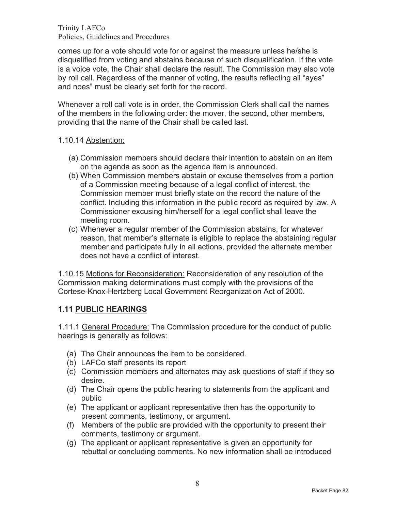comes up for a vote should vote for or against the measure unless he/she is disqualified from voting and abstains because of such disqualification. If the vote is a voice vote, the Chair shall declare the result. The Commission may also vote by roll call. Regardless of the manner of voting, the results reflecting all "ayes" and noes" must be clearly set forth for the record.

Whenever a roll call vote is in order, the Commission Clerk shall call the names of the members in the following order: the mover, the second, other members, providing that the name of the Chair shall be called last.

### 1.10.14 Abstention:

- (a) Commission members should declare their intention to abstain on an item on the agenda as soon as the agenda item is announced.
- (b) When Commission members abstain or excuse themselves from a portion of a Commission meeting because of a legal conflict of interest, the Commission member must briefly state on the record the nature of the conflict. Including this information in the public record as required by law. A Commissioner excusing him/herself for a legal conflict shall leave the meeting room.
- (c) Whenever a regular member of the Commission abstains, for whatever reason, that member's alternate is eligible to replace the abstaining regular member and participate fully in all actions, provided the alternate member does not have a conflict of interest.

1.10.15 Motions for Reconsideration: Reconsideration of any resolution of the Commission making determinations must comply with the provisions of the Cortese-Knox-Hertzberg Local Government Reorganization Act of 2000.

### **1.11 PUBLIC HEARINGS**

1.11.1 General Procedure: The Commission procedure for the conduct of public hearings is generally as follows:

- (a) The Chair announces the item to be considered.
- (b) LAFCo staff presents its report
- (c) Commission members and alternates may ask questions of staff if they so desire.
- (d) The Chair opens the public hearing to statements from the applicant and public
- (e) The applicant or applicant representative then has the opportunity to present comments, testimony, or argument.
- (f) Members of the public are provided with the opportunity to present their comments, testimony or argument.
- (g) The applicant or applicant representative is given an opportunity for rebuttal or concluding comments. No new information shall be introduced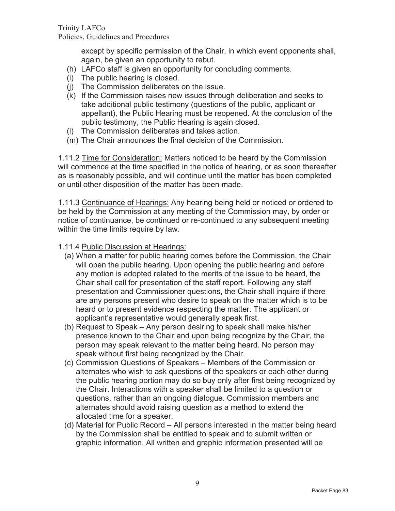except by specific permission of the Chair, in which event opponents shall, again, be given an opportunity to rebut.

- (h) LAFCo staff is given an opportunity for concluding comments.
- (i) The public hearing is closed.
- (j) The Commission deliberates on the issue.
- (k) If the Commission raises new issues through deliberation and seeks to take additional public testimony (questions of the public, applicant or appellant), the Public Hearing must be reopened. At the conclusion of the public testimony, the Public Hearing is again closed.
- (l) The Commission deliberates and takes action.
- (m) The Chair announces the final decision of the Commission.

1.11.2 Time for Consideration: Matters noticed to be heard by the Commission will commence at the time specified in the notice of hearing, or as soon thereafter as is reasonably possible, and will continue until the matter has been completed or until other disposition of the matter has been made.

1.11.3 Continuance of Hearings: Any hearing being held or noticed or ordered to be held by the Commission at any meeting of the Commission may, by order or notice of continuance, be continued or re-continued to any subsequent meeting within the time limits require by law.

1.11.4 Public Discussion at Hearings:

- (a) When a matter for public hearing comes before the Commission, the Chair will open the public hearing. Upon opening the public hearing and before any motion is adopted related to the merits of the issue to be heard, the Chair shall call for presentation of the staff report. Following any staff presentation and Commissioner questions, the Chair shall inquire if there are any persons present who desire to speak on the matter which is to be heard or to present evidence respecting the matter. The applicant or applicant's representative would generally speak first.
- (b) Request to Speak Any person desiring to speak shall make his/her presence known to the Chair and upon being recognize by the Chair, the person may speak relevant to the matter being heard. No person may speak without first being recognized by the Chair.
- (c) Commission Questions of Speakers Members of the Commission or alternates who wish to ask questions of the speakers or each other during the public hearing portion may do so buy only after first being recognized by the Chair. Interactions with a speaker shall be limited to a question or questions, rather than an ongoing dialogue. Commission members and alternates should avoid raising question as a method to extend the allocated time for a speaker.
- (d) Material for Public Record All persons interested in the matter being heard by the Commission shall be entitled to speak and to submit written or graphic information. All written and graphic information presented will be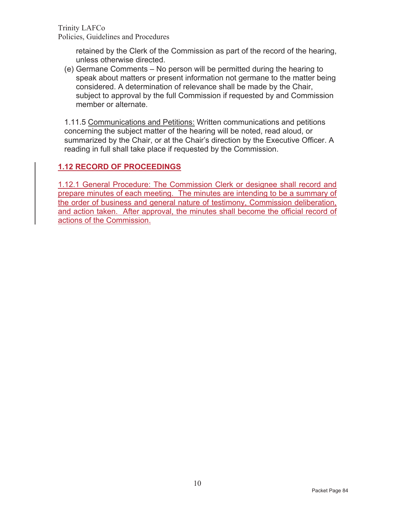retained by the Clerk of the Commission as part of the record of the hearing, unless otherwise directed.

(e) Germane Comments – No person will be permitted during the hearing to speak about matters or present information not germane to the matter being considered. A determination of relevance shall be made by the Chair, subject to approval by the full Commission if requested by and Commission member or alternate.

1.11.5 Communications and Petitions: Written communications and petitions concerning the subject matter of the hearing will be noted, read aloud, or summarized by the Chair, or at the Chair's direction by the Executive Officer. A reading in full shall take place if requested by the Commission.

# **1.12 RECORD OF PROCEEDINGS**

1.12.1 General Procedure: The Commission Clerk or designee shall record and prepare minutes of each meeting. The minutes are intending to be a summary of the order of business and general nature of testimony, Commission deliberation, and action taken. After approval, the minutes shall become the official record of actions of the Commission.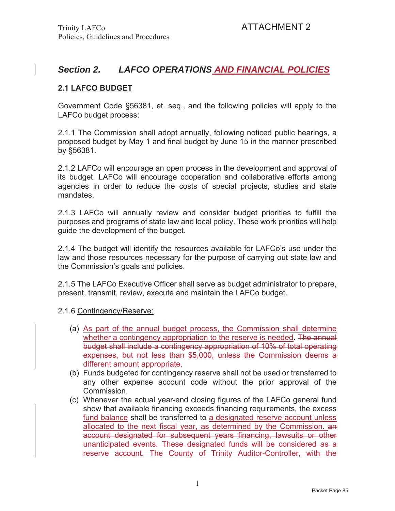# *Section 2. LAFCO OPERATIONS AND FINANCIAL POLICIES*

### **2.1 LAFCO BUDGET**

Government Code §56381, et. seq., and the following policies will apply to the LAFCo budget process:

2.1.1 The Commission shall adopt annually, following noticed public hearings, a proposed budget by May 1 and final budget by June 15 in the manner prescribed by §56381.

2.1.2 LAFCo will encourage an open process in the development and approval of its budget. LAFCo will encourage cooperation and collaborative efforts among agencies in order to reduce the costs of special projects, studies and state mandates.

2.1.3 LAFCo will annually review and consider budget priorities to fulfill the purposes and programs of state law and local policy. These work priorities will help guide the development of the budget.

2.1.4 The budget will identify the resources available for LAFCo's use under the law and those resources necessary for the purpose of carrying out state law and the Commission's goals and policies.

2.1.5 The LAFCo Executive Officer shall serve as budget administrator to prepare, present, transmit, review, execute and maintain the LAFCo budget.

2.1.6 Contingency/Reserve:

- (a) As part of the annual budget process, the Commission shall determine whether a contingency appropriation to the reserve is needed. The annual budget shall include a contingency appropriation of 10% of total operating expenses, but not less than \$5,000, unless the Commission deems a different amount appropriate.
- (b) Funds budgeted for contingency reserve shall not be used or transferred to any other expense account code without the prior approval of the Commission.
- (c) Whenever the actual year-end closing figures of the LAFCo general fund show that available financing exceeds financing requirements, the excess fund balance shall be transferred to a designated reserve account unless allocated to the next fiscal year, as determined by the Commission. an account designated for subsequent years financing, lawsuits or other unanticipated events. These designated funds will be considered as a reserve account. The County of Trinity Auditor-Controller, with the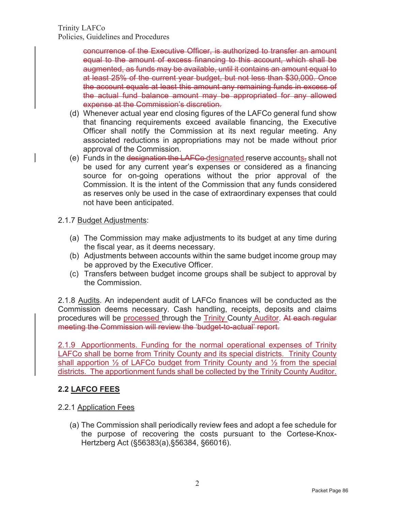concurrence of the Executive Officer, is authorized to transfer an amount equal to the amount of excess financing to this account, which shall be augmented, as funds may be available, until it contains an amount equal to at least 25% of the current year budget, but not less than \$30,000. Once the account equals at least this amount any remaining funds in excess of the actual fund balance amount may be appropriated for any allowed expense at the Commission's discretion.

- (d) Whenever actual year end closing figures of the LAFCo general fund show that financing requirements exceed available financing, the Executive Officer shall notify the Commission at its next regular meeting. Any associated reductions in appropriations may not be made without prior approval of the Commission.
- (e) Funds in the designation the LAFCo-designated reserve accounts, shall not be used for any current year's expenses or considered as a financing source for on-going operations without the prior approval of the Commission. It is the intent of the Commission that any funds considered as reserves only be used in the case of extraordinary expenses that could not have been anticipated.

#### 2.1.7 Budget Adjustments:

- (a) The Commission may make adjustments to its budget at any time during the fiscal year, as it deems necessary.
- (b) Adjustments between accounts within the same budget income group may be approved by the Executive Officer.
- (c) Transfers between budget income groups shall be subject to approval by the Commission.

2.1.8 Audits. An independent audit of LAFCo finances will be conducted as the Commission deems necessary. Cash handling, receipts, deposits and claims procedures will be processed through the Trinity County Auditor. At each regular meeting the Commission will review the 'budget-to-actual' report.

2.1.9 Apportionments. Funding for the normal operational expenses of Trinity LAFCo shall be borne from Trinity County and its special districts. Trinity County shall apportion  $\frac{1}{2}$  of LAFCo budget from Trinity County and  $\frac{1}{2}$  from the special districts. The apportionment funds shall be collected by the Trinity County Auditor.

## **2.2 LAFCO FEES**

### 2.2.1 Application Fees

(a) The Commission shall periodically review fees and adopt a fee schedule for the purpose of recovering the costs pursuant to the Cortese-Knox-Hertzberg Act (§56383(a),§56384, §66016).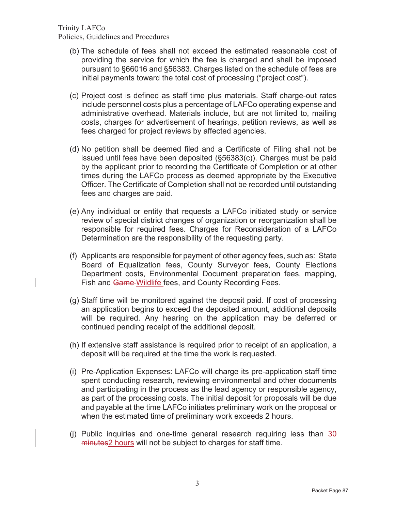- (b) The schedule of fees shall not exceed the estimated reasonable cost of providing the service for which the fee is charged and shall be imposed pursuant to §66016 and §56383. Charges listed on the schedule of fees are initial payments toward the total cost of processing ("project cost").
- (c) Project cost is defined as staff time plus materials. Staff charge-out rates include personnel costs plus a percentage of LAFCo operating expense and administrative overhead. Materials include, but are not limited to, mailing costs, charges for advertisement of hearings, petition reviews, as well as fees charged for project reviews by affected agencies.
- (d) No petition shall be deemed filed and a Certificate of Filing shall not be issued until fees have been deposited (§56383(c)). Charges must be paid by the applicant prior to recording the Certificate of Completion or at other times during the LAFCo process as deemed appropriate by the Executive Officer. The Certificate of Completion shall not be recorded until outstanding fees and charges are paid.
- (e) Any individual or entity that requests a LAFCo initiated study or service review of special district changes of organization or reorganization shall be responsible for required fees. Charges for Reconsideration of a LAFCo Determination are the responsibility of the requesting party.
- (f) Applicants are responsible for payment of other agency fees, such as: State Board of Equalization fees, County Surveyor fees, County Elections Department costs, Environmental Document preparation fees, mapping, Fish and Game-Wildlife fees, and County Recording Fees.
- (g) Staff time will be monitored against the deposit paid. If cost of processing an application begins to exceed the deposited amount, additional deposits will be required. Any hearing on the application may be deferred or continued pending receipt of the additional deposit.
- (h) If extensive staff assistance is required prior to receipt of an application, a deposit will be required at the time the work is requested.
- (i) Pre-Application Expenses: LAFCo will charge its pre-application staff time spent conducting research, reviewing environmental and other documents and participating in the process as the lead agency or responsible agency, as part of the processing costs. The initial deposit for proposals will be due and payable at the time LAFCo initiates preliminary work on the proposal or when the estimated time of preliminary work exceeds 2 hours.
- (i) Public inquiries and one-time general research requiring less than  $30$ minutes2 hours will not be subject to charges for staff time.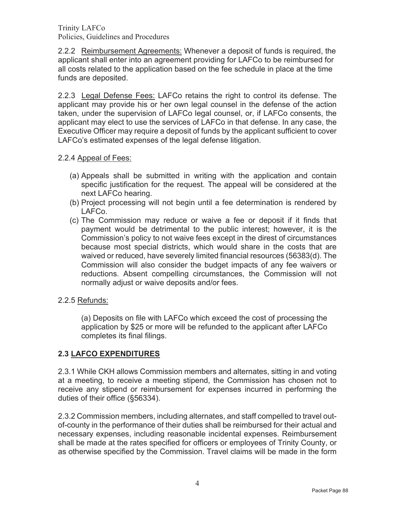2.2.2 Reimbursement Agreements: Whenever a deposit of funds is required, the applicant shall enter into an agreement providing for LAFCo to be reimbursed for all costs related to the application based on the fee schedule in place at the time funds are deposited.

2.2.3 Legal Defense Fees: LAFCo retains the right to control its defense. The applicant may provide his or her own legal counsel in the defense of the action taken, under the supervision of LAFCo legal counsel, or, if LAFCo consents, the applicant may elect to use the services of LAFCo in that defense. In any case, the Executive Officer may require a deposit of funds by the applicant sufficient to cover LAFCo's estimated expenses of the legal defense litigation.

### 2.2.4 Appeal of Fees:

- (a) Appeals shall be submitted in writing with the application and contain specific justification for the request. The appeal will be considered at the next LAFCo hearing.
- (b) Project processing will not begin until a fee determination is rendered by LAFCo.
- (c) The Commission may reduce or waive a fee or deposit if it finds that payment would be detrimental to the public interest; however, it is the Commission's policy to not waive fees except in the direst of circumstances because most special districts, which would share in the costs that are waived or reduced, have severely limited financial resources (56383(d). The Commission will also consider the budget impacts of any fee waivers or reductions. Absent compelling circumstances, the Commission will not normally adjust or waive deposits and/or fees.
- 2.2.5 Refunds:

(a) Deposits on file with LAFCo which exceed the cost of processing the application by \$25 or more will be refunded to the applicant after LAFCo completes its final filings.

### **2.3 LAFCO EXPENDITURES**

2.3.1 While CKH allows Commission members and alternates, sitting in and voting at a meeting, to receive a meeting stipend, the Commission has chosen not to receive any stipend or reimbursement for expenses incurred in performing the duties of their office (§56334).

2.3.2 Commission members, including alternates, and staff compelled to travel outof-county in the performance of their duties shall be reimbursed for their actual and necessary expenses, including reasonable incidental expenses. Reimbursement shall be made at the rates specified for officers or employees of Trinity County, or as otherwise specified by the Commission. Travel claims will be made in the form